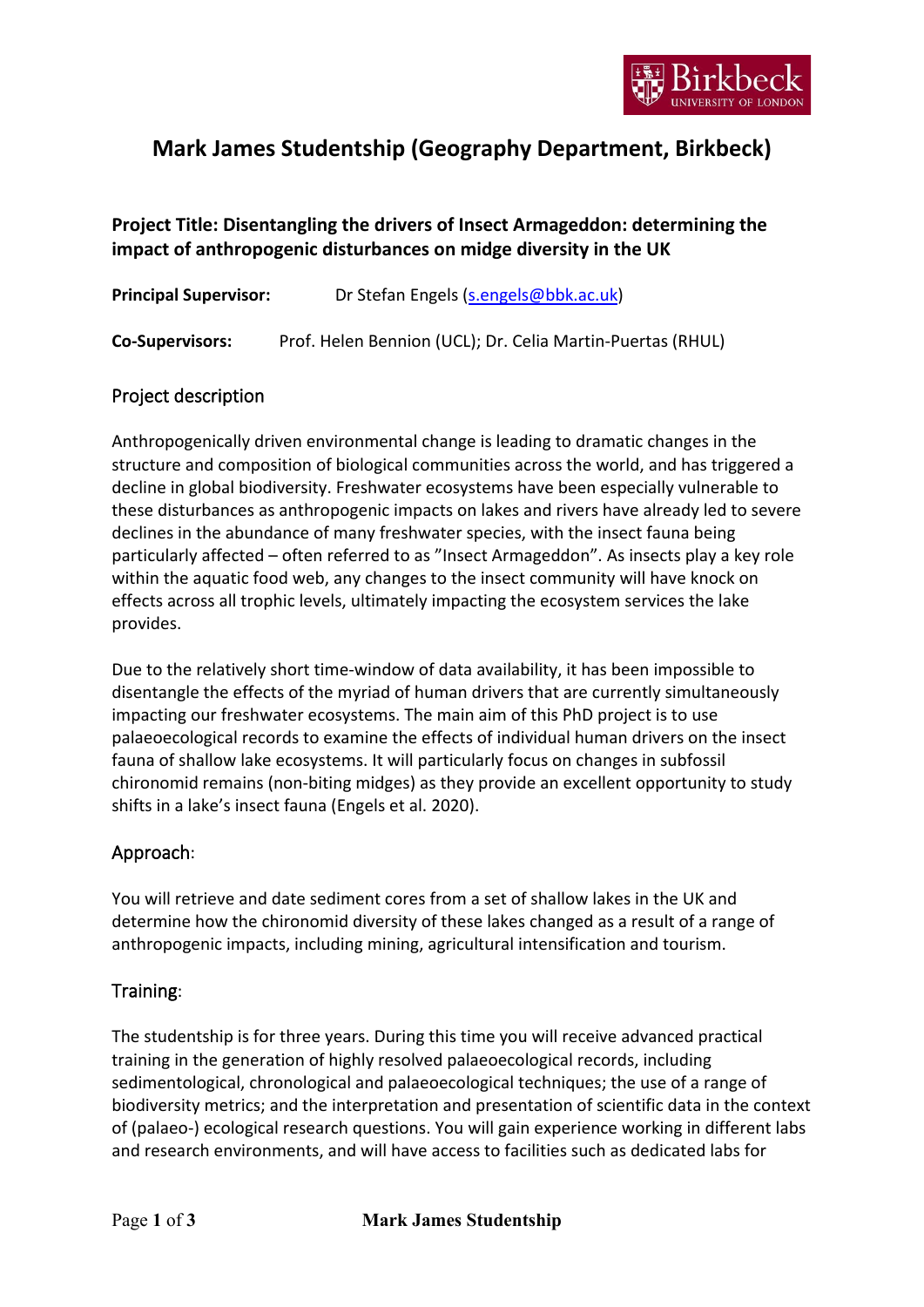

# **Mark James Studentship (Geography Department, Birkbeck)**

## **Project Title: Disentangling the drivers of Insect Armageddon: determining the impact of anthropogenic disturbances on midge diversity in the UK**

| <b>Principal Supervisor:</b> | Dr Stefan Engels (s.engels@bbk.ac.uk)                      |
|------------------------------|------------------------------------------------------------|
| <b>Co-Supervisors:</b>       | Prof. Helen Bennion (UCL); Dr. Celia Martin-Puertas (RHUL) |

## Project description

Anthropogenically driven environmental change is leading to dramatic changes in the structure and composition of biological communities across the world, and has triggered a decline in global biodiversity. Freshwater ecosystems have been especially vulnerable to these disturbances as anthropogenic impacts on lakes and rivers have already led to severe declines in the abundance of many freshwater species, with the insect fauna being particularly affected – often referred to as "Insect Armageddon". As insects play a key role within the aquatic food web, any changes to the insect community will have knock on effects across all trophic levels, ultimately impacting the ecosystem services the lake provides.

Due to the relatively short time-window of data availability, it has been impossible to disentangle the effects of the myriad of human drivers that are currently simultaneously impacting our freshwater ecosystems. The main aim of this PhD project is to use palaeoecological records to examine the effects of individual human drivers on the insect fauna of shallow lake ecosystems. It will particularly focus on changes in subfossil chironomid remains (non-biting midges) as they provide an excellent opportunity to study shifts in a lake's insect fauna (Engels et al. 2020).

#### Approach:

You will retrieve and date sediment cores from a set of shallow lakes in the UK and determine how the chironomid diversity of these lakes changed as a result of a range of anthropogenic impacts, including mining, agricultural intensification and tourism.

#### Training:

The studentship is for three years. During this time you will receive advanced practical training in the generation of highly resolved palaeoecological records, including sedimentological, chronological and palaeoecological techniques; the use of a range of biodiversity metrics; and the interpretation and presentation of scientific data in the context of (palaeo-) ecological research questions. You will gain experience working in different labs and research environments, and will have access to facilities such as dedicated labs for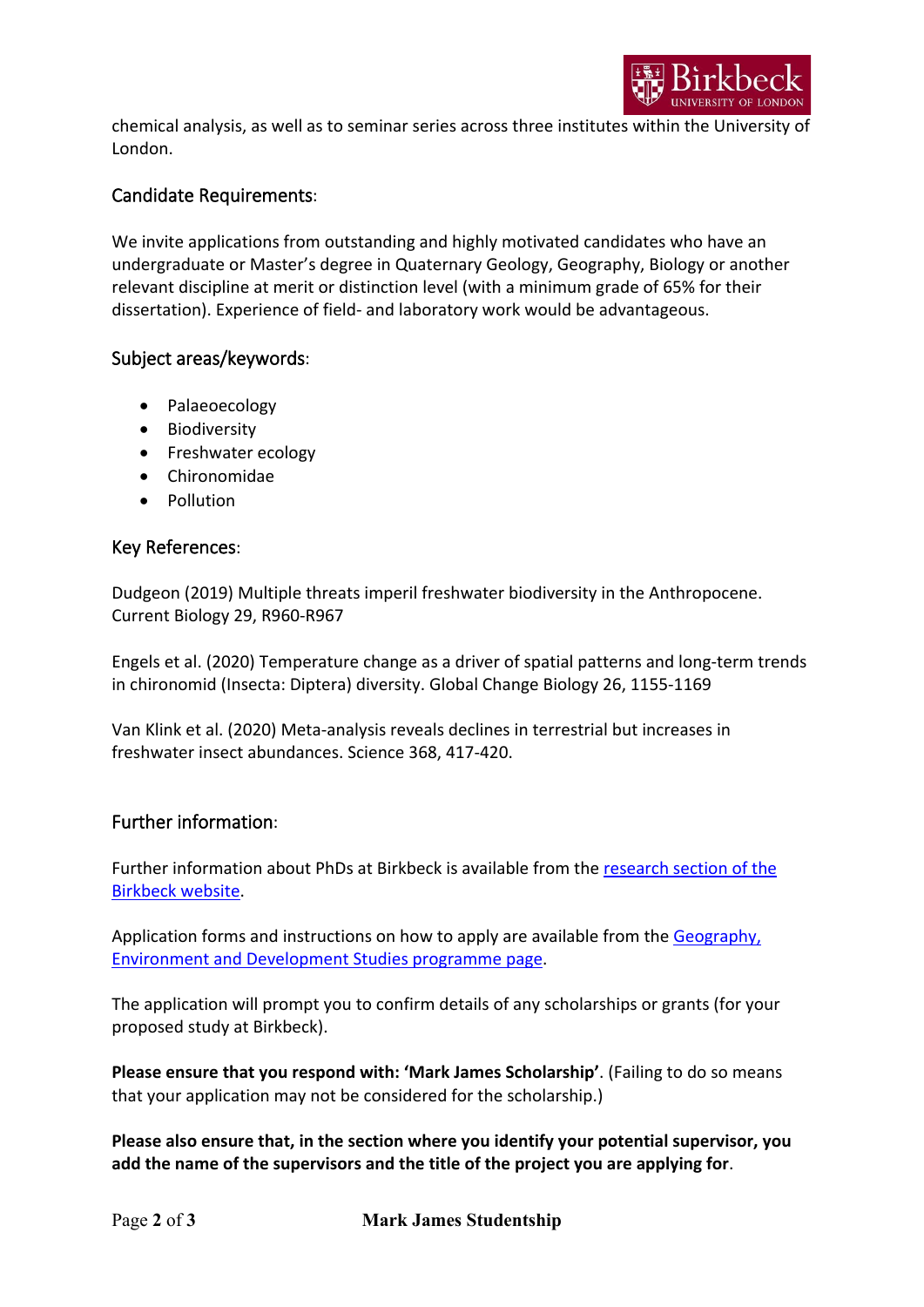

chemical analysis, as well as to seminar series across three institutes within the University of London.

### Candidate Requirements:

We invite applications from outstanding and highly motivated candidates who have an undergraduate or Master's degree in Quaternary Geology, Geography, Biology or another relevant discipline at merit or distinction level (with a minimum grade of 65% for their dissertation). Experience of field- and laboratory work would be advantageous.

#### Subject areas/keywords:

- Palaeoecology
- Biodiversity
- Freshwater ecology
- Chironomidae
- Pollution

#### Key References:

Dudgeon (2019) Multiple threats imperil freshwater biodiversity in the Anthropocene. Current Biology 29, R960-R967

Engels et al. (2020) Temperature change as a driver of spatial patterns and long-term trends in chironomid (Insecta: Diptera) diversity. Global Change Biology 26, 1155-1169

Van Klink et al. (2020) Meta-analysis reveals declines in terrestrial but increases in freshwater insect abundances. Science 368, 417-420.

#### Further information:

Further information about PhDs at Birkbeck is available from the [research section of the](https://www.bbk.ac.uk/prospective/research)  [Birkbeck website.](https://www.bbk.ac.uk/prospective/research)

Application forms and instructions on how to apply are available from the Geography, [Environment and Development Studies programme page.](https://www.bbk.ac.uk/study/2022/phd/programmes/RMPSSGED/0/geography-environment-and-development-studies-mphil-phd)

The application will prompt you to confirm details of any scholarships or grants (for your proposed study at Birkbeck).

**Please ensure that you respond with: 'Mark James Scholarship'**. (Failing to do so means that your application may not be considered for the scholarship.)

**Please also ensure that, in the section where you identify your potential supervisor, you add the name of the supervisors and the title of the project you are applying for**.